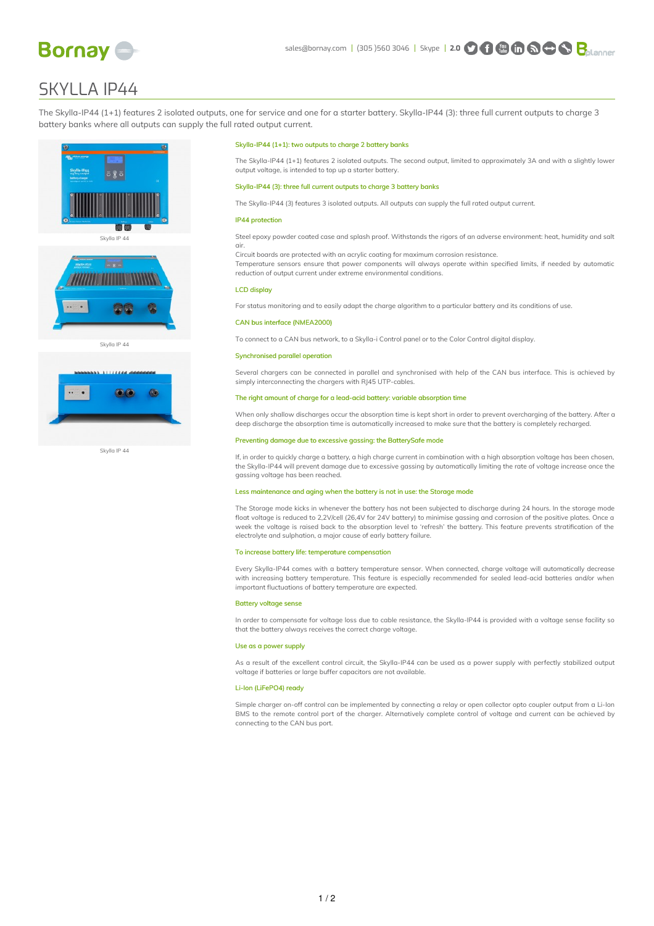

# SKYLLA IP44

The Skylla-IP44 (1+1) features 2 isolated outputs, one for service and one for a starter battery. Skylla-IP44 (3): three full current outputs to charge 3 battery banks where all outputs can supply the full rated output current.

Skylla-IP44 (1+1): two outputs to charge 2 battery banks

Skylla-IP44 (3): three full current outputs to charge 3 battery banks

reduction of output current under extreme environmental conditions.

output voltage, is intended to top up a starter battery.

IP44 protection

LCD display

CAN bus interface (NMEA2000)

air.



Skylla IP 44



## Synchronised parallel operation

Several chargers can be connected in parallel and synchronised with help of the CAN bus interface. This is achieved by simply interconnecting the chargers with RJ45 UTP-cables.

The Skylla-IP44 (1+1) features 2 isolated outputs. The second output, limited to approximately 3A and with a slightly lower

Steel epoxy powder coated case and splash proof. Withstands the rigors of an adverse environment: heat, humidity and salt

Temperature sensors ensure that power components will always operate within specified limits, if needed by automatic

For status monitoring and to easily adapt the charge algorithm to a particular battery and its conditions of use.

To connect to a CAN bus network, to a Skylla-i Control panel or to the Color Control digital display.

The Skylla-IP44 (3) features 3 isolated outputs. All outputs can supply the full rated output current.

Circuit boards are protected with an acrylic coating for maximum corrosion resistance.

### The right amount of charge for a lead-acid battery: variable absorption time

When only shallow discharges occur the absorption time is kept short in order to prevent overcharging of the battery. After a deep discharge the absorption time is automatically increased to make sure that the battery is completely recharged.

## Preventing damage due to excessive gassing: the BatterySafe mode

If, in order to quickly charge a battery, a high charge current in combination with a high absorption voltage has been chosen, the Skylla-IP44 will prevent damage due to excessive gassing by automatically limiting the rate of voltage increase once the gassing voltage has been reached.

## Less maintenance and aging when the battery is not in use: the Storage mode

The Storage mode kicks in whenever the battery has not been subjected to discharge during 24 hours. In the storage mode float voltage is reduced to 2,2V/cell (26,4V for 24V battery) to minimise gassing and corrosion of the positive plates. Once a week the voltage is raised back to the absorption level to 'refresh' the battery. This feature prevents stratification of the electrolyte and sulphation, a major cause of early battery failure.

### To increase battery life: temperature compensation

Every Skylla-IP44 comes with a battery temperature sensor. When connected, charge voltage will automatically decrease with increasing battery temperature. This feature is especially recommended for sealed lead-acid batteries and/or when important fluctuations of battery temperature are expected.

#### Battery voltage sense

In order to compensate for voltage loss due to cable resistance, the Skylla-IP44 is provided with a voltage sense facility so that the battery always receives the correct charge voltage.

### Use as a power supply

As a result of the excellent control circuit, the Skylla-IP44 can be used as a power supply with perfectly stabilized output voltage if batteries or large buffer capacitors are not available.

#### Li-Ion (LiFePO4) ready

Simple charger on-off control can be implemented by connecting a relay or open collector opto coupler output from a Li-Ion BMS to the remote control port of the charger. Alternatively complete control of voltage and current can be achieved by connecting to the CAN bus port.